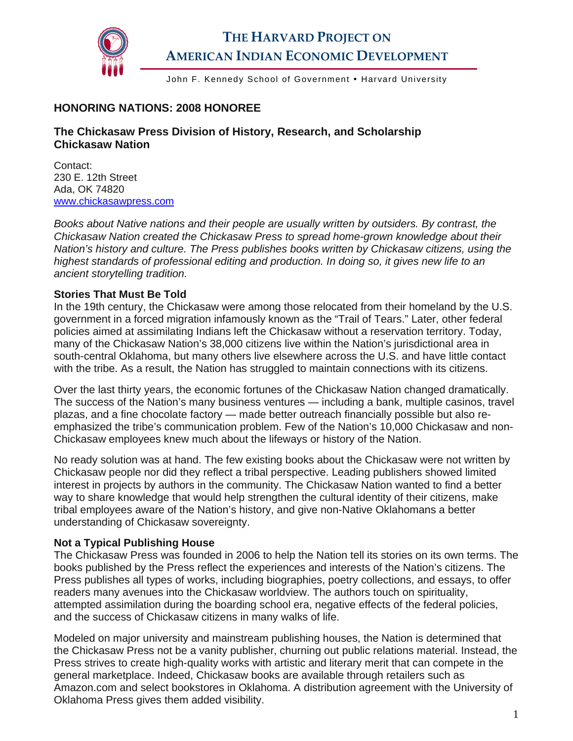

# **THE HARVARD PROJECT ON AMERICAN INDIAN ECONOMIC DEVELOPMENT**

John F. Kennedy School of Government • Harvard University

# **HONORING NATIONS: 2008 HONOREE**

## **The Chickasaw Press Division of History, Research, and Scholarship Chickasaw Nation**

Contact: 230 E. 12th Street Ada, OK 74820 [www.chickasawpress.com](http://www.chickasawpress.com/) 

*Books about Native nations and their people are usually written by outsiders. By contrast, the Chickasaw Nation created the Chickasaw Press to spread home-grown knowledge about their Nation's history and culture. The Press publishes books written by Chickasaw citizens, using the highest standards of professional editing and production. In doing so, it gives new life to an ancient storytelling tradition.* 

#### **Stories That Must Be Told**

In the 19th century, the Chickasaw were among those relocated from their homeland by the U.S. government in a forced migration infamously known as the "Trail of Tears." Later, other federal policies aimed at assimilating Indians left the Chickasaw without a reservation territory. Today, many of the Chickasaw Nation's 38,000 citizens live within the Nation's jurisdictional area in south-central Oklahoma, but many others live elsewhere across the U.S. and have little contact with the tribe. As a result, the Nation has struggled to maintain connections with its citizens.

Over the last thirty years, the economic fortunes of the Chickasaw Nation changed dramatically. The success of the Nation's many business ventures — including a bank, multiple casinos, travel plazas, and a fine chocolate factory — made better outreach financially possible but also reemphasized the tribe's communication problem. Few of the Nation's 10,000 Chickasaw and non-Chickasaw employees knew much about the lifeways or history of the Nation.

No ready solution was at hand. The few existing books about the Chickasaw were not written by Chickasaw people nor did they reflect a tribal perspective. Leading publishers showed limited interest in projects by authors in the community. The Chickasaw Nation wanted to find a better way to share knowledge that would help strengthen the cultural identity of their citizens, make tribal employees aware of the Nation's history, and give non-Native Oklahomans a better understanding of Chickasaw sovereignty.

#### **Not a Typical Publishing House**

The Chickasaw Press was founded in 2006 to help the Nation tell its stories on its own terms. The books published by the Press reflect the experiences and interests of the Nation's citizens. The Press publishes all types of works, including biographies, poetry collections, and essays, to offer readers many avenues into the Chickasaw worldview. The authors touch on spirituality, attempted assimilation during the boarding school era, negative effects of the federal policies, and the success of Chickasaw citizens in many walks of life.

Modeled on major university and mainstream publishing houses, the Nation is determined that the Chickasaw Press not be a vanity publisher, churning out public relations material. Instead, the Press strives to create high-quality works with artistic and literary merit that can compete in the general marketplace. Indeed, Chickasaw books are available through retailers such as Amazon.com and select bookstores in Oklahoma. A distribution agreement with the University of Oklahoma Press gives them added visibility.